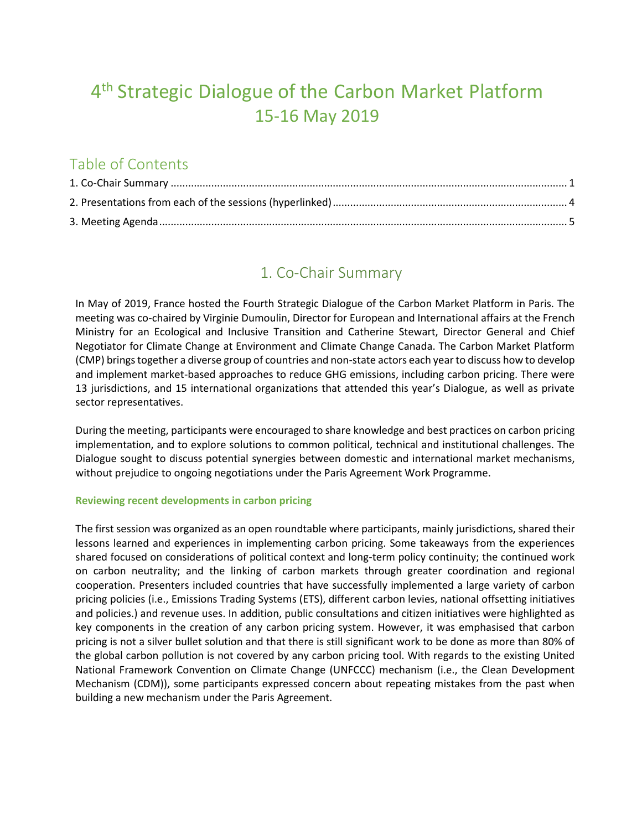# 4<sup>th</sup> Strategic Dialogue of the Carbon Market Platform 15-16 May 2019

# Table of Contents

### 1. Co-Chair Summary

<span id="page-0-0"></span>In May of 2019, France hosted the Fourth Strategic Dialogue of the Carbon Market Platform in Paris. The meeting was co-chaired by Virginie Dumoulin, Director for European and International affairs at the French Ministry for an Ecological and Inclusive Transition and Catherine Stewart, Director General and Chief Negotiator for Climate Change at Environment and Climate Change Canada. The Carbon Market Platform (CMP) brings together a diverse group of countries and non-state actors each year to discuss how to develop and implement market-based approaches to reduce GHG emissions, including carbon pricing. There were 13 jurisdictions, and 15 international organizations that attended this year's Dialogue, as well as private sector representatives.

During the meeting, participants were encouraged to share knowledge and best practices on carbon pricing implementation, and to explore solutions to common political, technical and institutional challenges. The Dialogue sought to discuss potential synergies between domestic and international market mechanisms, without prejudice to ongoing negotiations under the Paris Agreement Work Programme.

### **Reviewing recent developments in carbon pricing**

The first session was organized as an open roundtable where participants, mainly jurisdictions, shared their lessons learned and experiences in implementing carbon pricing. Some takeaways from the experiences shared focused on considerations of political context and long-term policy continuity; the continued work on carbon neutrality; and the linking of carbon markets through greater coordination and regional cooperation. Presenters included countries that have successfully implemented a large variety of carbon pricing policies (i.e., Emissions Trading Systems (ETS), different carbon levies, national offsetting initiatives and policies.) and revenue uses. In addition, public consultations and citizen initiatives were highlighted as key components in the creation of any carbon pricing system. However, it was emphasised that carbon pricing is not a silver bullet solution and that there is still significant work to be done as more than 80% of the global carbon pollution is not covered by any carbon pricing tool. With regards to the existing United National Framework Convention on Climate Change (UNFCCC) mechanism (i.e., the Clean Development Mechanism (CDM)), some participants expressed concern about repeating mistakes from the past when building a new mechanism under the Paris Agreement.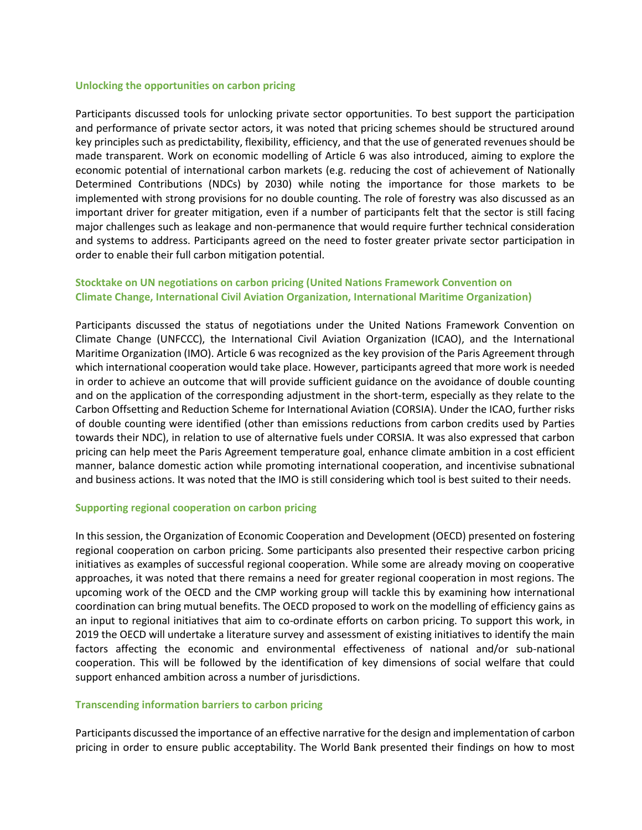#### **Unlocking the opportunities on carbon pricing**

Participants discussed tools for unlocking private sector opportunities. To best support the participation and performance of private sector actors, it was noted that pricing schemes should be structured around key principles such as predictability, flexibility, efficiency, and that the use of generated revenues should be made transparent. Work on economic modelling of Article 6 was also introduced, aiming to explore the economic potential of international carbon markets (e.g. reducing the cost of achievement of Nationally Determined Contributions (NDCs) by 2030) while noting the importance for those markets to be implemented with strong provisions for no double counting. The role of forestry was also discussed as an important driver for greater mitigation, even if a number of participants felt that the sector is still facing major challenges such as leakage and non-permanence that would require further technical consideration and systems to address. Participants agreed on the need to foster greater private sector participation in order to enable their full carbon mitigation potential.

### **Stocktake on UN negotiations on carbon pricing (United Nations Framework Convention on Climate Change, International Civil Aviation Organization, International Maritime Organization)**

Participants discussed the status of negotiations under the United Nations Framework Convention on Climate Change (UNFCCC), the International Civil Aviation Organization (ICAO), and the International Maritime Organization (IMO). Article 6 was recognized as the key provision of the Paris Agreement through which international cooperation would take place. However, participants agreed that more work is needed in order to achieve an outcome that will provide sufficient guidance on the avoidance of double counting and on the application of the corresponding adjustment in the short-term, especially as they relate to the Carbon Offsetting and Reduction Scheme for International Aviation (CORSIA). Under the ICAO, further risks of double counting were identified (other than emissions reductions from carbon credits used by Parties towards their NDC), in relation to use of alternative fuels under CORSIA. It was also expressed that carbon pricing can help meet the Paris Agreement temperature goal, enhance climate ambition in a cost efficient manner, balance domestic action while promoting international cooperation, and incentivise subnational and business actions. It was noted that the IMO is still considering which tool is best suited to their needs.

#### **Supporting regional cooperation on carbon pricing**

In this session, the Organization of Economic Cooperation and Development (OECD) presented on fostering regional cooperation on carbon pricing. Some participants also presented their respective carbon pricing initiatives as examples of successful regional cooperation. While some are already moving on cooperative approaches, it was noted that there remains a need for greater regional cooperation in most regions. The upcoming work of the OECD and the CMP working group will tackle this by examining how international coordination can bring mutual benefits. The OECD proposed to work on the modelling of efficiency gains as an input to regional initiatives that aim to co-ordinate efforts on carbon pricing. To support this work, in 2019 the OECD will undertake a literature survey and assessment of existing initiatives to identify the main factors affecting the economic and environmental effectiveness of national and/or sub-national cooperation. This will be followed by the identification of key dimensions of social welfare that could support enhanced ambition across a number of jurisdictions.

#### **Transcending information barriers to carbon pricing**

Participants discussed the importance of an effective narrative for the design and implementation of carbon pricing in order to ensure public acceptability. The World Bank presented their findings on how to most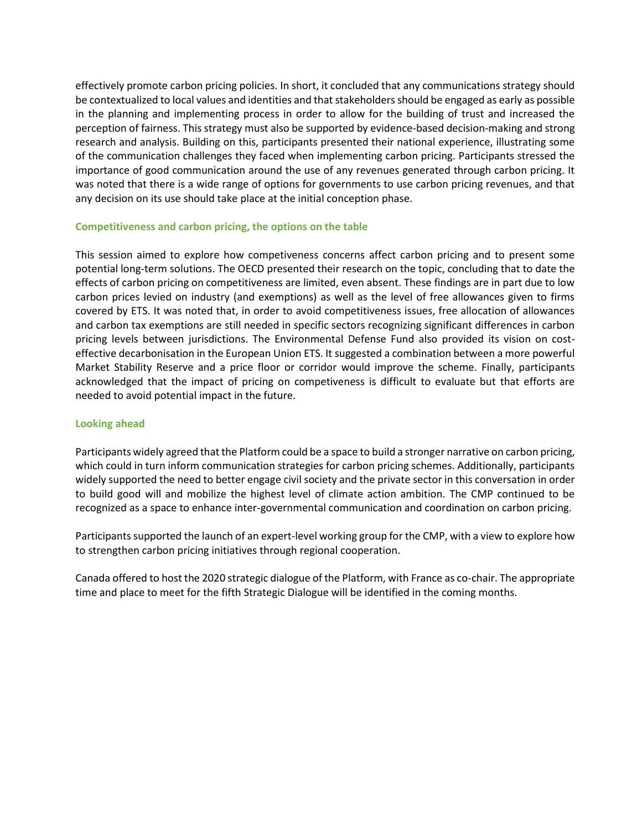effectively promote carbon pricing policies. In short, it concluded that any communications strategy should be contextualized to local values and identities and that stakeholders should be engaged as early as possible in the planning and implementing process in order to allow for the building of trust and increased the perception of fairness. This strategy must also be supported by evidence-based decision-making and strong research and analysis. Building on this, participants presented their national experience, illustrating some of the communication challenges they faced when implementing carbon pricing. Participants stressed the importance of good communication around the use of any revenues generated through carbon pricing. It was noted that there is a wide range of options for governments to use carbon pricing revenues, and that any decision on its use should take place at the initial conception phase.

#### **Competitiveness and carbon pricing, the options on the table**

This session aimed to explore how competiveness concerns affect carbon pricing and to present some potential long-term solutions. The OECD presented their research on the topic, concluding that to date the effects of carbon pricing on competitiveness are limited, even absent. These findings are in part due to low carbon prices levied on industry (and exemptions) as well as the level of free allowances given to firms covered by ETS. It was noted that, in order to avoid competitiveness issues, free allocation of allowances and carbon tax exemptions are still needed in specific sectors recognizing significant differences in carbon pricing levels between jurisdictions. The Environmental Defense Fund also provided its vision on costeffective decarbonisation in the European Union ETS. It suggested a combination between a more powerful Market Stability Reserve and a price floor or corridor would improve the scheme. Finally, participants acknowledged that the impact of pricing on competiveness is difficult to evaluate but that efforts are needed to avoid potential impact in the future.

### **Looking ahead**

Participants widely agreed that the Platform could be a space to build a stronger narrative on carbon pricing, which could in turn inform communication strategies for carbon pricing schemes. Additionally, participants widely supported the need to better engage civil society and the private sector in this conversation in order to build good will and mobilize the highest level of climate action ambition. The CMP continued to be recognized as a space to enhance inter-governmental communication and coordination on carbon pricing.

Participants supported the launch of an expert-level working group for the CMP, with a view to explore how to strengthen carbon pricing initiatives through regional cooperation.

<span id="page-2-0"></span>Canada offered to host the 2020 strategic dialogue of the Platform, with France as co-chair. The appropriate time and place to meet for the fifth Strategic Dialogue will be identified in the coming months.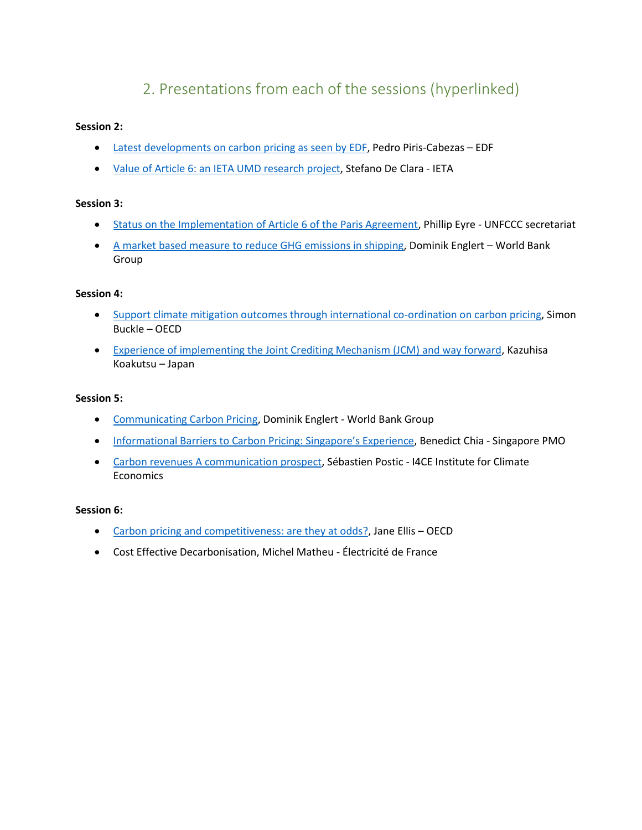# 2. Presentations from each of the sessions (hyperlinked)

### **Session 2:**

- **[Latest developments on carbon pricing as seen by EDF,](https://www.slideshare.net/OECD_ENV/latest-developments-on-carbon-pricing-as-seen-by-edf-pedro-piriscabezas-edf) Pedro Piris-Cabezas EDF**
- [Value of Article 6: an IETA UMD research project,](https://www.slideshare.net/OECD_ENV/value-of-article-6-an-ieta-umd-research-project-stefano-de-clara-ieta) Stefano De Clara IETA

### **Session 3:**

- [Status on the Implementation of Article 6 of the Paris Agreement,](https://www.slideshare.net/OECD_ENV/status-on-the-implementation-of-article-6-of-the-paris-agreement-phillip-eyre-unfccc-secretariat) Phillip Eyre UNFCCC secretariat
- [A market based measure to reduce GHG emissions in shipping,](https://www.slideshare.net/OECD_ENV/a-market-based-measure-to-reduce-ghg-emissions-in-shipping-dominik-englert-world-bank-group-248607636) Dominik Englert World Bank Group

### **Session 4:**

- [Support climate mitigation outcomes through international co-ordination on carbon pricing,](https://www.slideshare.net/OECD_ENV/support-climate-mitigation-outcomes-through-international-coordination-on-carbon-pricing-simon-buckle-oecd) Simon Buckle – OECD
- [Experience of implementing the Joint Crediting Mechanism \(JCM\) and way forward,](https://www.slideshare.net/OECD_ENV/experience-of-implementing-the-joint-crediting-mechanism-jcm-and-way-forward-kazuhisa-koakutsu-japan) Kazuhisa Koakutsu – Japan

### **Session 5:**

- [Communicating Carbon Pricing,](https://www.slideshare.net/OECD_ENV/communicating-carbon-pricing-dominik-englert-world-bank-group-248607306) Dominik Englert World Bank Group
- [Informational Barriers to Carbon Pricing: Singapore's Experience](https://www.slideshare.net/OECD_ENV/informational-barriers-to-carbon-pricing-singapores-experience-benedict-chia-singapore-pmo), Benedict Chia Singapore PMO
- [Carbon revenues A communication prospect,](https://www.slideshare.net/OECD_ENV/carbon-revenues-a-communication-prospect-sbastien-postic-i4ce-institute-for-climate-economics) Sébastien Postic I4CE Institute for Climate **Economics**

### **Session 6:**

- [Carbon pricing and competitiveness: are they at odds?,](https://www.slideshare.net/OECD_ENV/carbon-pricing-and-competitiveness-are-they-at-odds-jane-ellis-oecd) Jane Ellis OECD
- Cost Effective Decarbonisation, Michel Matheu Électricité de France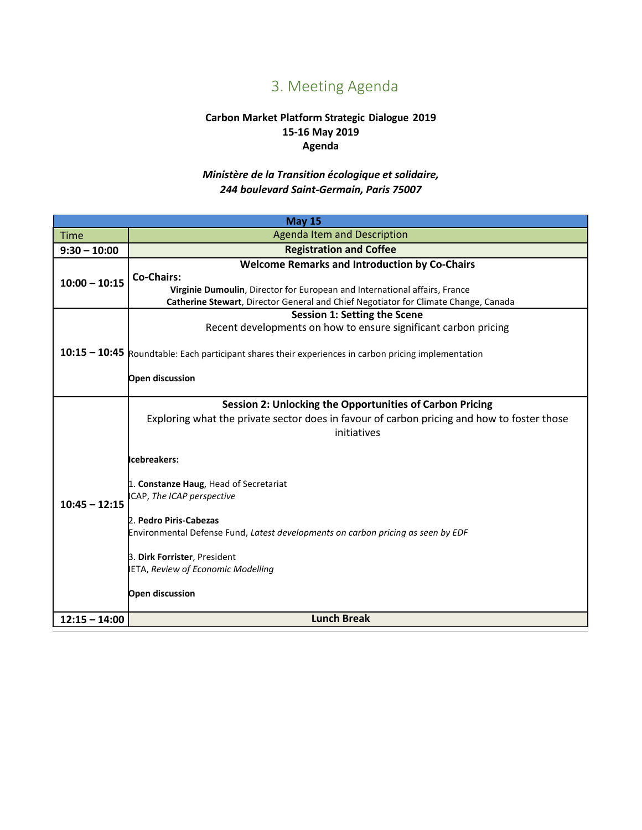# 3. Meeting Agenda

### **Carbon Market Platform Strategic Dialogue 2019 15-16 May 2019 Agenda**

### *Ministère de la Transition écologique et solidaire, 244 boulevard Saint-Germain, Paris 75007*

<span id="page-4-0"></span>

| <b>May 15</b>   |                                                                                                                                                                                                                                                                                                                                                                                                                                                                                  |  |
|-----------------|----------------------------------------------------------------------------------------------------------------------------------------------------------------------------------------------------------------------------------------------------------------------------------------------------------------------------------------------------------------------------------------------------------------------------------------------------------------------------------|--|
| <b>Time</b>     | <b>Agenda Item and Description</b>                                                                                                                                                                                                                                                                                                                                                                                                                                               |  |
| $9:30 - 10:00$  | <b>Registration and Coffee</b>                                                                                                                                                                                                                                                                                                                                                                                                                                                   |  |
| $10:00 - 10:15$ | <b>Welcome Remarks and Introduction by Co-Chairs</b><br><b>Co-Chairs:</b><br>Virginie Dumoulin, Director for European and International affairs, France<br>Catherine Stewart, Director General and Chief Negotiator for Climate Change, Canada                                                                                                                                                                                                                                   |  |
|                 | <b>Session 1: Setting the Scene</b><br>Recent developments on how to ensure significant carbon pricing<br>10:15 - 10:45 Roundtable: Each participant shares their experiences in carbon pricing implementation<br>Open discussion                                                                                                                                                                                                                                                |  |
| $10:45 - 12:15$ | Session 2: Unlocking the Opportunities of Carbon Pricing<br>Exploring what the private sector does in favour of carbon pricing and how to foster those<br>initiatives<br>cebreakers:<br>1. Constanze Haug, Head of Secretariat<br>CAP, The ICAP perspective<br>2. Pedro Piris-Cabezas<br>Environmental Defense Fund, Latest developments on carbon pricing as seen by EDF<br>3. Dirk Forrister, President<br><b>IETA, Review of Economic Modelling</b><br><b>Open discussion</b> |  |
| $12:15 - 14:00$ | <b>Lunch Break</b>                                                                                                                                                                                                                                                                                                                                                                                                                                                               |  |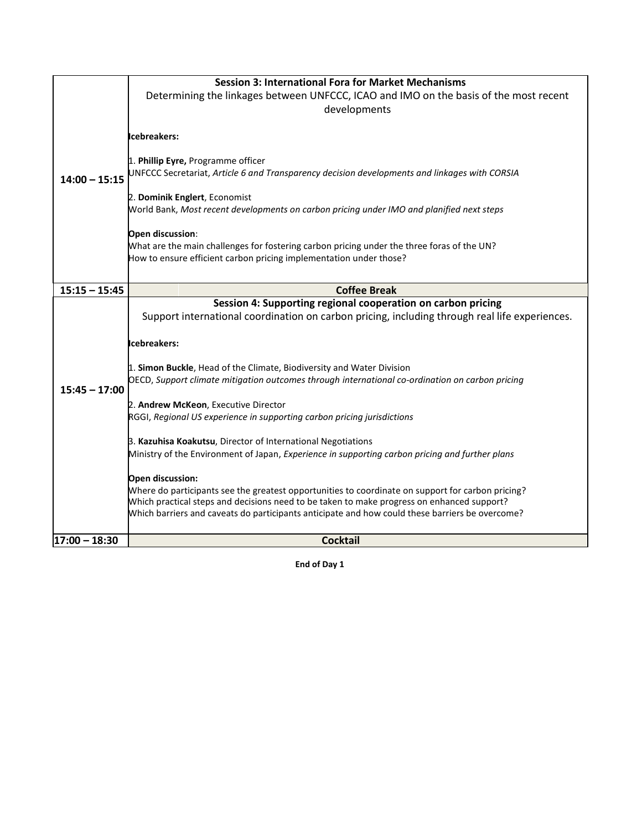|                 | <b>Session 3: International Fora for Market Mechanisms</b>                                                                                                                                      |
|-----------------|-------------------------------------------------------------------------------------------------------------------------------------------------------------------------------------------------|
|                 | Determining the linkages between UNFCCC, ICAO and IMO on the basis of the most recent                                                                                                           |
|                 | developments                                                                                                                                                                                    |
|                 |                                                                                                                                                                                                 |
|                 | Icebreakers:                                                                                                                                                                                    |
|                 |                                                                                                                                                                                                 |
|                 | 1. Phillip Eyre, Programme officer                                                                                                                                                              |
| $14:00 - 15:15$ | UNFCCC Secretariat, Article 6 and Transparency decision developments and linkages with CORSIA                                                                                                   |
|                 | 2. Dominik Englert, Economist                                                                                                                                                                   |
|                 | World Bank, Most recent developments on carbon pricing under IMO and planified next steps                                                                                                       |
|                 |                                                                                                                                                                                                 |
|                 | Open discussion:                                                                                                                                                                                |
|                 | What are the main challenges for fostering carbon pricing under the three foras of the UN?                                                                                                      |
|                 | How to ensure efficient carbon pricing implementation under those?                                                                                                                              |
|                 |                                                                                                                                                                                                 |
| $15:15 - 15:45$ | <b>Coffee Break</b>                                                                                                                                                                             |
|                 | Session 4: Supporting regional cooperation on carbon pricing                                                                                                                                    |
|                 | Support international coordination on carbon pricing, including through real life experiences.                                                                                                  |
|                 | Icebreakers:                                                                                                                                                                                    |
|                 |                                                                                                                                                                                                 |
|                 | 1. Simon Buckle, Head of the Climate, Biodiversity and Water Division                                                                                                                           |
| $15:45 - 17:00$ | OECD, Support climate mitigation outcomes through international co-ordination on carbon pricing                                                                                                 |
|                 |                                                                                                                                                                                                 |
|                 | 2. Andrew McKeon, Executive Director<br>RGGI, Regional US experience in supporting carbon pricing jurisdictions                                                                                 |
|                 |                                                                                                                                                                                                 |
|                 | 3. Kazuhisa Koakutsu, Director of International Negotiations                                                                                                                                    |
|                 | Ministry of the Environment of Japan, Experience in supporting carbon pricing and further plans                                                                                                 |
|                 |                                                                                                                                                                                                 |
|                 | Open discussion:                                                                                                                                                                                |
|                 | Where do participants see the greatest opportunities to coordinate on support for carbon pricing?<br>Which practical steps and decisions need to be taken to make progress on enhanced support? |
|                 | Which barriers and caveats do participants anticipate and how could these barriers be overcome?                                                                                                 |
|                 |                                                                                                                                                                                                 |
| $17:00 - 18:30$ | <b>Cocktail</b>                                                                                                                                                                                 |

**End of Day 1**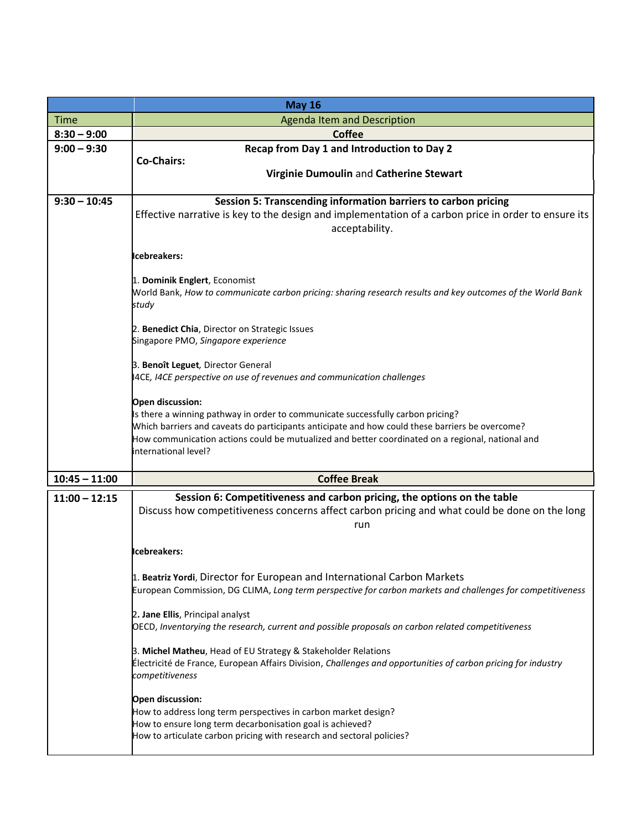|                 | <b>May 16</b>                                                                                                            |
|-----------------|--------------------------------------------------------------------------------------------------------------------------|
| <b>Time</b>     | Agenda Item and Description                                                                                              |
| $8:30 - 9:00$   | <b>Coffee</b>                                                                                                            |
| $9:00 - 9:30$   | Recap from Day 1 and Introduction to Day 2                                                                               |
|                 | <b>Co-Chairs:</b>                                                                                                        |
|                 | Virginie Dumoulin and Catherine Stewart                                                                                  |
| $9:30 - 10:45$  | Session 5: Transcending information barriers to carbon pricing                                                           |
|                 | Effective narrative is key to the design and implementation of a carbon price in order to ensure its                     |
|                 | acceptability.                                                                                                           |
|                 |                                                                                                                          |
|                 | Icebreakers:                                                                                                             |
|                 | 1. Dominik Englert, Economist                                                                                            |
|                 | World Bank, How to communicate carbon pricing: sharing research results and key outcomes of the World Bank               |
|                 | study                                                                                                                    |
|                 | 2. Benedict Chia, Director on Strategic Issues                                                                           |
|                 | Singapore PMO, Singapore experience                                                                                      |
|                 |                                                                                                                          |
|                 | 3. Benoît Leguet, Director General<br>4CE, I4CE perspective on use of revenues and communication challenges              |
|                 |                                                                                                                          |
|                 | Open discussion:                                                                                                         |
|                 | Is there a winning pathway in order to communicate successfully carbon pricing?                                          |
|                 | Which barriers and caveats do participants anticipate and how could these barriers be overcome?                          |
|                 | How communication actions could be mutualized and better coordinated on a regional, national and<br>international level? |
|                 |                                                                                                                          |
| $10:45 - 11:00$ | <b>Coffee Break</b>                                                                                                      |
| $11:00 - 12:15$ | Session 6: Competitiveness and carbon pricing, the options on the table                                                  |
|                 | Discuss how competitiveness concerns affect carbon pricing and what could be done on the long                            |
|                 | run                                                                                                                      |
|                 |                                                                                                                          |
|                 | Icebreakers:                                                                                                             |
|                 | 1. Beatriz Yordi, Director for European and International Carbon Markets                                                 |
|                 | European Commission, DG CLIMA, Long term perspective for carbon markets and challenges for competitiveness               |
|                 |                                                                                                                          |
|                 | 2. Jane Ellis, Principal analyst                                                                                         |
|                 | OECD, Inventorying the research, current and possible proposals on carbon related competitiveness                        |
|                 | 3. Michel Matheu, Head of EU Strategy & Stakeholder Relations                                                            |
|                 | Électricité de France, European Affairs Division, Challenges and opportunities of carbon pricing for industry            |
|                 | competitiveness                                                                                                          |
|                 | Open discussion:                                                                                                         |
|                 | How to address long term perspectives in carbon market design?                                                           |
|                 | How to ensure long term decarbonisation goal is achieved?                                                                |
|                 | How to articulate carbon pricing with research and sectoral policies?                                                    |
|                 |                                                                                                                          |